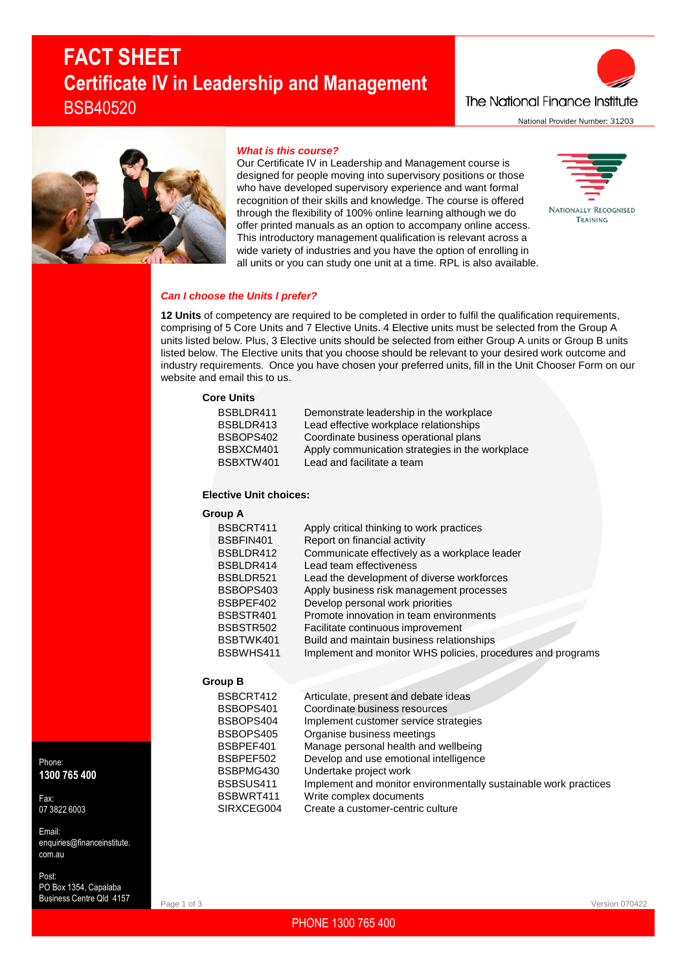# **FACT SHEET Certificate IV in Leadership and Management** BSB40520

The National Finance Institute National Provider Number: 31203



# *What is this course?*

Our Certificate IV in Leadership and Management course is designed for people moving into supervisory positions or those who have developed supervisory experience and want formal recognition of their skills and knowledge. The course is offered through the flexibility of 100% online learning although we do offer printed manuals as an option to accompany online access. This introductory management qualification is relevant across a wide variety of industries and you have the option of enrolling in all units or you can study one unit at a time. RPL is also available.



# *Can I choose the Units I prefer?*

**12 Units** of competency are required to be completed in order to fulfil the qualification requirements, comprising of 5 Core Units and 7 Elective Units. 4 Elective units must be selected from the Group A units listed below. Plus, 3 Elective units should be selected from either Group A units or Group B units listed below. The Elective units that you choose should be relevant to your desired work outcome and industry requirements. Once you have chosen your preferred units, fill in the Unit Chooser Form on our website and email this to us.

## **Core Units**

| BSBLDR411 | Demonstrate leadership in the workplace         |
|-----------|-------------------------------------------------|
| BSBLDR413 | Lead effective workplace relationships          |
| BSBOPS402 | Coordinate business operational plans           |
| BSBXCM401 | Apply communication strategies in the workplace |
| BSBXTW401 | Lead and facilitate a team                      |
|           |                                                 |

## **Elective Unit choices:**

**Group A**

| BSBCRT411 | Apply critical thinking to work practices                   |
|-----------|-------------------------------------------------------------|
| BSBFIN401 | Report on financial activity                                |
| BSBLDR412 | Communicate effectively as a workplace leader               |
| BSBLDR414 | Lead team effectiveness                                     |
| BSBLDR521 | Lead the development of diverse workforces                  |
| BSBOPS403 | Apply business risk management processes                    |
| BSBPEF402 | Develop personal work priorities                            |
| BSBSTR401 | Promote innovation in team environments                     |
| BSBSTR502 | Facilitate continuous improvement                           |
| BSBTWK401 | Build and maintain business relationships                   |
| BSBWHS411 | Implement and monitor WHS policies, procedures and programs |

# **Group B**

Page 1 of 3

| BSBCRT412  | Articulate, present and debate ideas                             |
|------------|------------------------------------------------------------------|
| BSBOPS401  | Coordinate business resources                                    |
| BSBOPS404  | Implement customer service strategies                            |
| BSBOPS405  | Organise business meetings                                       |
| BSBPEF401  | Manage personal health and wellbeing                             |
| BSBPEF502  | Develop and use emotional intelligence                           |
| BSBPMG430  | Undertake project work                                           |
| BSBSUS411  | Implement and monitor environmentally sustainable work practices |
| BSBWRT411  | Write complex documents                                          |
| SIRXCEG004 | Create a customer-centric culture                                |

Phone: **1300 765 400**

Fax: 07 3822 6003

Email: enquiries@financeinstitute. com.au

Post: PO Box 1354, Capalaba Business Centre Qld 4157

PHONE 1300 765 400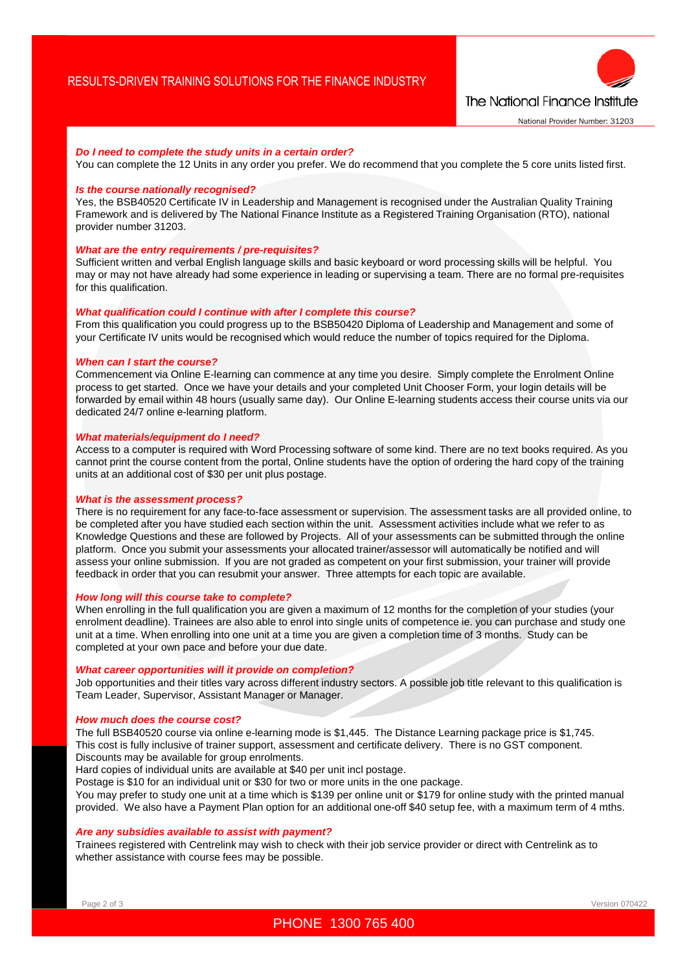

## *Do I need to complete the study units in a certain order?*

You can complete the 12 Units in any order you prefer. We do recommend that you complete the 5 core units listed first.

#### *Is the course nationally recognised?*

Yes, the BSB40520 Certificate IV in Leadership and Management is recognised under the Australian Quality Training Framework and is delivered by The National Finance Institute as a Registered Training Organisation (RTO), national provider number 31203.

## *What are the entry requirements / pre-requisites?*

Sufficient written and verbal English language skills and basic keyboard or word processing skills will be helpful. You may or may not have already had some experience in leading or supervising a team. There are no formal pre-requisites for this qualification.

## *What qualification could I continue with after I complete this course?*

From this qualification you could progress up to the BSB50420 Diploma of Leadership and Management and some of your Certificate IV units would be recognised which would reduce the number of topics required for the Diploma.

#### *When can I start the course?*

Commencement via Online E-learning can commence at any time you desire. Simply complete the Enrolment Online process to get started. Once we have your details and your completed Unit Chooser Form, your login details will be forwarded by email within 48 hours (usually same day). Our Online E-learning students access their course units via our dedicated 24/7 online e-learning platform.

#### *What materials/equipment do I need?*

Access to a computer is required with Word Processing software of some kind. There are no text books required. As you cannot print the course content from the portal, Online students have the option of ordering the hard copy of the training units at an additional cost of \$30 per unit plus postage.

#### *What is the assessment process?*

There is no requirement for any face-to-face assessment or supervision. The assessment tasks are all provided online, to be completed after you have studied each section within the unit. Assessment activities include what we refer to as Knowledge Questions and these are followed by Projects. All of your assessments can be submitted through the online platform. Once you submit your assessments your allocated trainer/assessor will automatically be notified and will assess your online submission. If you are not graded as competent on your first submission, your trainer will provide feedback in order that you can resubmit your answer. Three attempts for each topic are available.

# *How long will this course take to complete?*

When enrolling in the full qualification you are given a maximum of 12 months for the completion of your studies (your enrolment deadline). Trainees are also able to enrol into single units of competence ie. you can purchase and study one unit at a time. When enrolling into one unit at a time you are given a completion time of 3 months. Study can be completed at your own pace and before your due date.

#### *What career opportunities will it provide on completion?*

Job opportunities and their titles vary across different industry sectors. A possible job title relevant to this qualification is Team Leader, Supervisor, Assistant Manager or Manager.

#### *How much does the course cost?*

The full BSB40520 course via online e-learning mode is \$1,445. The Distance Learning package price is \$1,745. This cost is fully inclusive of trainer support, assessment and certificate delivery. There is no GST component. Discounts may be available for group enrolments.

Hard copies of individual units are available at \$40 per unit incl postage.

Postage is \$10 for an individual unit or \$30 for two or more units in the one package.

You may prefer to study one unit at a time which is \$139 per online unit or \$179 for online study with the printed manual provided. We also have a Payment Plan option for an additional one-off \$40 setup fee, with a maximum term of 4 mths.

#### *Are any subsidies available to assist with payment?*

Trainees registered with Centrelink may wish to check with their job service provider or direct with Centrelink as to whether assistance with course fees may be possible.